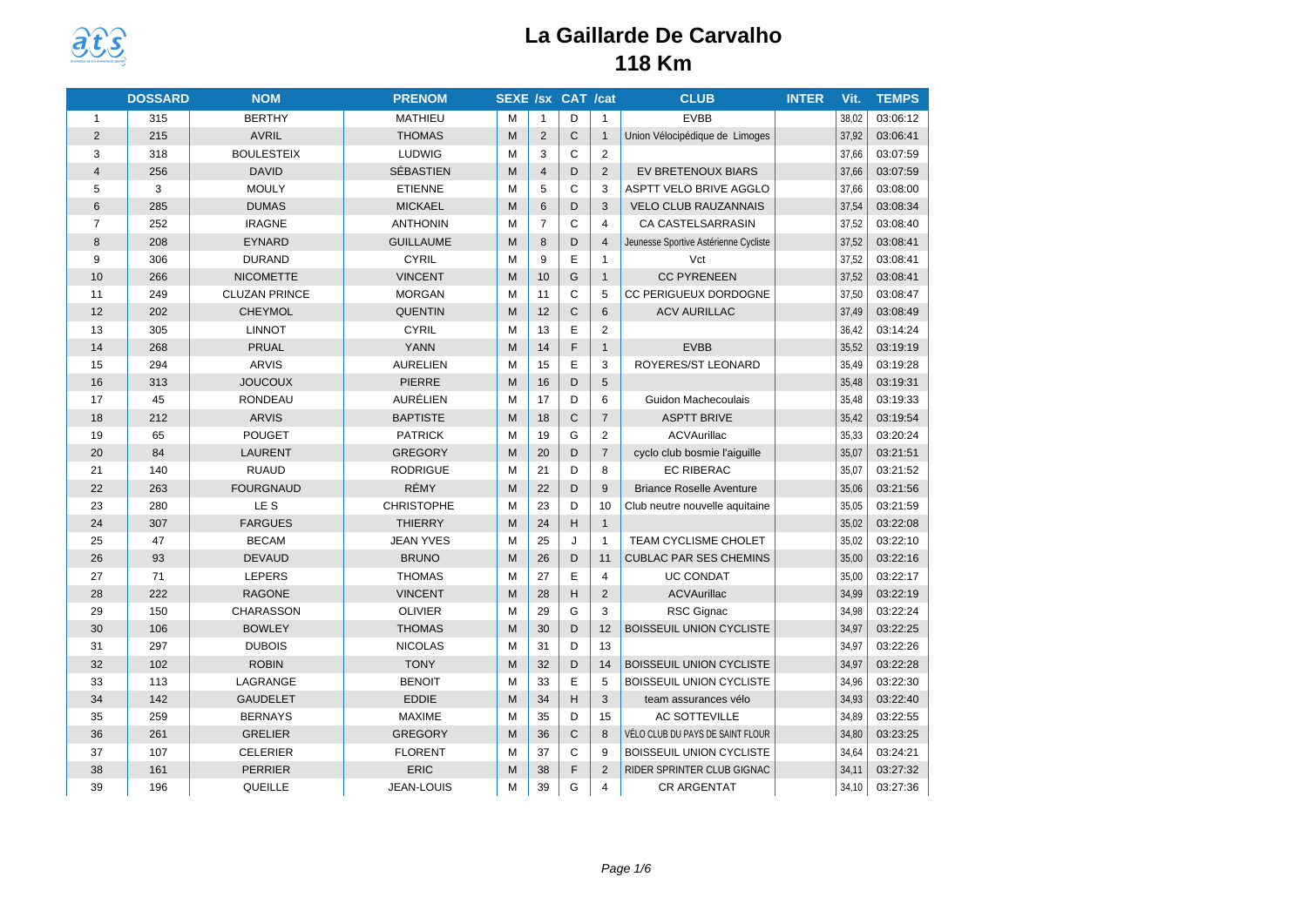

|                | <b>DOSSARD</b> | <b>NOM</b>           | <b>PRENOM</b>     | <b>SEXE /sx CAT /cat</b> |                |              |                | <b>CLUB</b>                           | <b>INTER</b> | Vit.  | <b>TEMPS</b> |
|----------------|----------------|----------------------|-------------------|--------------------------|----------------|--------------|----------------|---------------------------------------|--------------|-------|--------------|
| $\mathbf{1}$   | 315            | <b>BERTHY</b>        | <b>MATHIEU</b>    | M                        | $\mathbf{1}$   | D            | $\mathbf{1}$   | <b>EVBB</b>                           |              | 38,02 | 03:06:12     |
| $\overline{2}$ | 215            | <b>AVRIL</b>         | <b>THOMAS</b>     | M                        | 2              | $\mathsf{C}$ | $\mathbf{1}$   | Union Vélocipédique de Limoges        |              | 37,92 | 03:06:41     |
| 3              | 318            | <b>BOULESTEIX</b>    | LUDWIG            | M                        | 3              | C            | 2              |                                       |              | 37,66 | 03:07:59     |
| $\overline{4}$ | 256            | <b>DAVID</b>         | <b>SÉBASTIEN</b>  | M                        | $\overline{4}$ | D            | 2              | EV BRETENOUX BIARS                    |              | 37,66 | 03:07:59     |
| 5              | 3              | <b>MOULY</b>         | <b>ETIENNE</b>    | M                        | 5              | $\mathsf{C}$ | 3              | ASPTT VELO BRIVE AGGLO                |              | 37,66 | 03:08:00     |
| 6              | 285            | <b>DUMAS</b>         | <b>MICKAEL</b>    | M                        | 6              | D            | 3              | <b>VELO CLUB RAUZANNAIS</b>           |              | 37,54 | 03:08:34     |
| $\overline{7}$ | 252            | <b>IRAGNE</b>        | <b>ANTHONIN</b>   | м                        | $\overline{7}$ | C            | $\overline{4}$ | CA CASTELSARRASIN                     |              | 37,52 | 03:08:40     |
| 8              | 208            | <b>EYNARD</b>        | <b>GUILLAUME</b>  | M                        | 8              | D            | $\overline{4}$ | Jeunesse Sportive Astérienne Cycliste |              | 37,52 | 03:08:41     |
| 9              | 306            | <b>DURAND</b>        | <b>CYRIL</b>      | M                        | 9              | E            | $\mathbf{1}$   | Vct                                   |              | 37,52 | 03:08:41     |
| 10             | 266            | <b>NICOMETTE</b>     | <b>VINCENT</b>    | M                        | 10             | G            | $\mathbf{1}$   | <b>CC PYRENEEN</b>                    |              | 37,52 | 03:08:41     |
| 11             | 249            | <b>CLUZAN PRINCE</b> | <b>MORGAN</b>     | M                        | 11             | C            | 5              | <b>CC PERIGUEUX DORDOGNE</b>          |              | 37,50 | 03:08:47     |
| 12             | 202            | <b>CHEYMOL</b>       | <b>QUENTIN</b>    | M                        | 12             | $\mathsf C$  | 6              | <b>ACV AURILLAC</b>                   |              | 37,49 | 03:08:49     |
| 13             | 305            | <b>LINNOT</b>        | <b>CYRIL</b>      | M                        | 13             | E            | 2              |                                       |              | 36,42 | 03:14:24     |
| 14             | 268            | <b>PRUAL</b>         | <b>YANN</b>       | M                        | 14             | F            | $\mathbf{1}$   | <b>EVBB</b>                           |              | 35,52 | 03:19:19     |
| 15             | 294            | <b>ARVIS</b>         | <b>AURELIEN</b>   | M                        | 15             | E            | 3              | ROYERES/ST LEONARD                    |              | 35,49 | 03:19:28     |
| 16             | 313            | <b>JOUCOUX</b>       | <b>PIERRE</b>     | M                        | 16             | D            | 5              |                                       |              | 35,48 | 03:19:31     |
| 17             | 45             | <b>RONDEAU</b>       | AURÉLIEN          | M                        | 17             | D            | 6              | Guidon Machecoulais                   |              | 35.48 | 03:19:33     |
| 18             | 212            | <b>ARVIS</b>         | <b>BAPTISTE</b>   | M                        | 18             | $\mathsf{C}$ | $\overline{7}$ | <b>ASPTT BRIVE</b>                    |              | 35,42 | 03:19:54     |
| 19             | 65             | <b>POUGET</b>        | <b>PATRICK</b>    | M                        | 19             | G            | 2              | ACVAurillac                           |              | 35,33 | 03:20:24     |
| 20             | 84             | <b>LAURENT</b>       | <b>GREGORY</b>    | M                        | 20             | D            | $\overline{7}$ | cyclo club bosmie l'aiguille          |              | 35,07 | 03:21:51     |
| 21             | 140            | <b>RUAUD</b>         | <b>RODRIGUE</b>   | M                        | 21             | D            | 8              | EC RIBERAC                            |              | 35.07 | 03:21:52     |
| 22             | 263            | <b>FOURGNAUD</b>     | RÉMY              | M                        | 22             | D            | 9              | <b>Briance Roselle Aventure</b>       |              | 35,06 | 03:21:56     |
| 23             | 280            | LE S                 | <b>CHRISTOPHE</b> | M                        | 23             | D            | 10             | Club neutre nouvelle aquitaine        |              | 35,05 | 03:21:59     |
| 24             | 307            | <b>FARGUES</b>       | <b>THIERRY</b>    | M                        | 24             | H            | $\mathbf{1}$   |                                       |              | 35,02 | 03:22:08     |
| 25             | 47             | <b>BECAM</b>         | <b>JEAN YVES</b>  | M                        | 25             | J            | $\mathbf{1}$   | TEAM CYCLISME CHOLET                  |              | 35,02 | 03:22:10     |
| 26             | 93             | <b>DEVAUD</b>        | <b>BRUNO</b>      | M                        | 26             | D            | 11             | <b>CUBLAC PAR SES CHEMINS</b>         |              | 35,00 | 03:22:16     |
| 27             | 71             | LEPERS               | <b>THOMAS</b>     | M                        | 27             | E            | $\overline{4}$ | <b>UC CONDAT</b>                      |              | 35,00 | 03:22:17     |
| 28             | 222            | <b>RAGONE</b>        | <b>VINCENT</b>    | M                        | 28             | H            | 2              | <b>ACVAurillac</b>                    |              | 34,99 | 03:22:19     |
| 29             | 150            | <b>CHARASSON</b>     | <b>OLIVIER</b>    | M                        | 29             | G            | 3              | RSC Gignac                            |              | 34,98 | 03:22:24     |
| 30             | 106            | <b>BOWLEY</b>        | <b>THOMAS</b>     | M                        | 30             | D            | 12             | <b>BOISSEUIL UNION CYCLISTE</b>       |              | 34,97 | 03:22:25     |
| 31             | 297            | <b>DUBOIS</b>        | <b>NICOLAS</b>    | м                        | 31             | D            | 13             |                                       |              | 34,97 | 03:22:26     |
| 32             | 102            | <b>ROBIN</b>         | <b>TONY</b>       | M                        | 32             | D            | 14             | <b>BOISSEUIL UNION CYCLISTE</b>       |              | 34,97 | 03:22:28     |
| 33             | 113            | LAGRANGE             | <b>BENOIT</b>     | M                        | 33             | E            | 5              | BOISSEUIL UNION CYCLISTE              |              | 34,96 | 03:22:30     |
| 34             | 142            | <b>GAUDELET</b>      | <b>EDDIE</b>      | M                        | 34             | H            | 3              | team assurances vélo                  |              | 34,93 | 03:22:40     |
| 35             | 259            | <b>BERNAYS</b>       | <b>MAXIME</b>     | м                        | 35             | D            | 15             | <b>AC SOTTEVILLE</b>                  |              | 34,89 | 03:22:55     |
| 36             | 261            | <b>GRELIER</b>       | <b>GREGORY</b>    | M                        | 36             | $\mathsf C$  | 8              | VÉLO CLUB DU PAYS DE SAINT FLOUR      |              | 34,80 | 03:23:25     |
| 37             | 107            | <b>CELERIER</b>      | <b>FLORENT</b>    | M                        | 37             | C            | 9              | <b>BOISSEUIL UNION CYCLISTE</b>       |              | 34,64 | 03:24:21     |
| 38             | 161            | <b>PERRIER</b>       | <b>ERIC</b>       | M                        | 38             | F            | 2              | RIDER SPRINTER CLUB GIGNAC            |              | 34,11 | 03:27:32     |
| 39             | 196            | QUEILLE              | <b>JEAN-LOUIS</b> | M                        | 39             | G            | $\overline{4}$ | <b>CR ARGENTAT</b>                    |              | 34,10 | 03:27:36     |
|                |                |                      |                   |                          |                |              |                |                                       |              |       |              |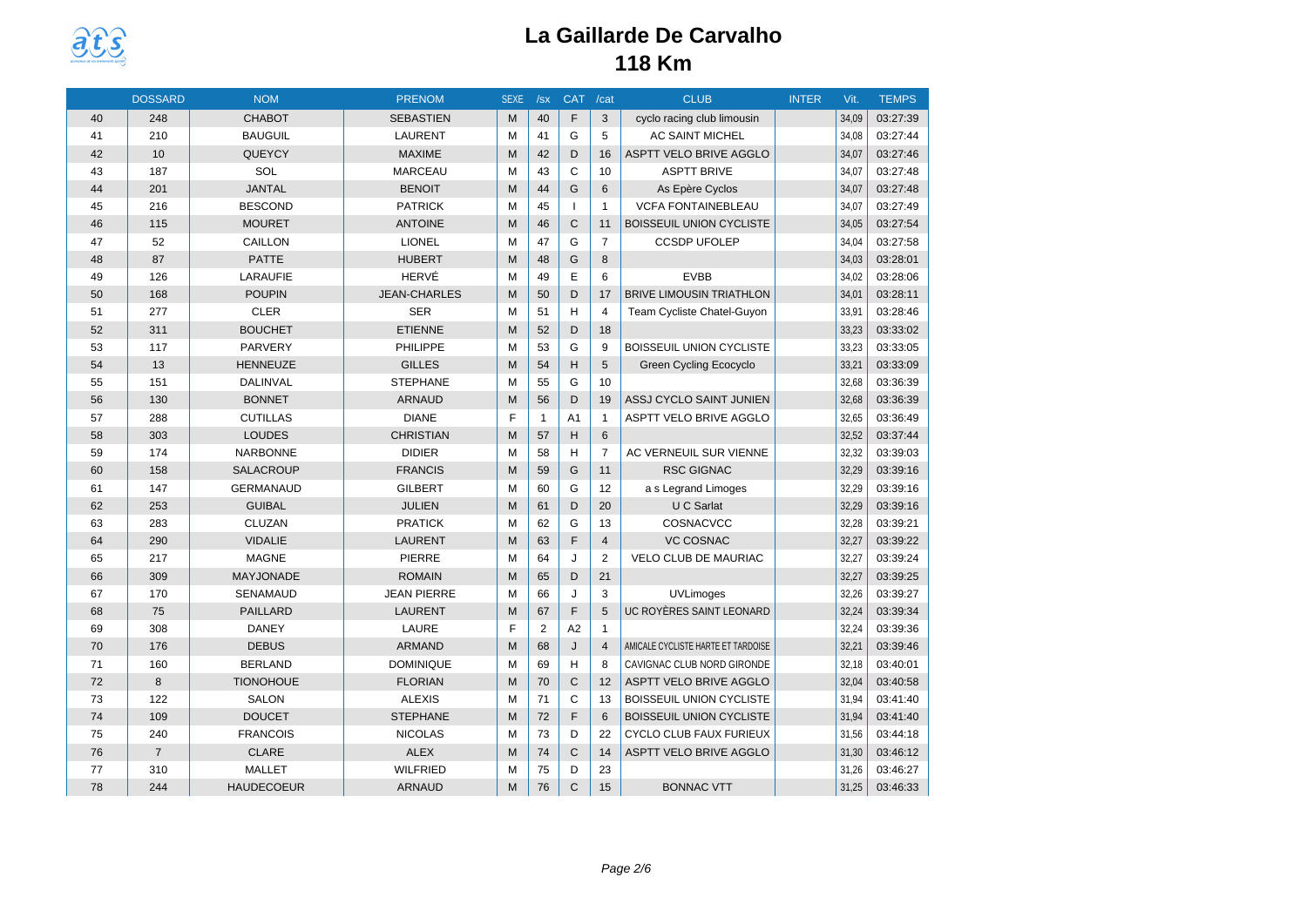

|    | <b>DOSSARD</b> | <b>NOM</b>        | <b>PRENOM</b>       | <b>SEXE</b> | /sx          | <b>CAT</b>     | /cat           | <b>CLUB</b>                        | <b>INTER</b> | Vit.  | <b>TEMPS</b> |
|----|----------------|-------------------|---------------------|-------------|--------------|----------------|----------------|------------------------------------|--------------|-------|--------------|
| 40 | 248            | <b>CHABOT</b>     | <b>SEBASTIEN</b>    | M           | 40           | F              | 3              | cyclo racing club limousin         |              | 34,09 | 03:27:39     |
| 41 | 210            | <b>BAUGUIL</b>    | <b>LAURENT</b>      | м           | 41           | G              | 5              | <b>AC SAINT MICHEL</b>             |              | 34,08 | 03:27:44     |
| 42 | 10             | QUEYCY            | <b>MAXIME</b>       | M           | 42           | D              | 16             | ASPTT VELO BRIVE AGGLO             |              | 34,07 | 03:27:46     |
| 43 | 187            | SOL               | <b>MARCEAU</b>      | M           | 43           | $\mathsf{C}$   | 10             | <b>ASPTT BRIVE</b>                 |              | 34,07 | 03:27:48     |
| 44 | 201            | <b>JANTAL</b>     | <b>BENOIT</b>       | M           | 44           | G              | 6              | As Epère Cyclos                    |              | 34,07 | 03:27:48     |
| 45 | 216            | <b>BESCOND</b>    | <b>PATRICK</b>      | м           | 45           | $\mathbf{I}$   | $\mathbf{1}$   | <b>VCFA FONTAINEBLEAU</b>          |              | 34,07 | 03:27:49     |
| 46 | 115            | <b>MOURET</b>     | <b>ANTOINE</b>      | M           | 46           | $\mathsf{C}$   | 11             | BOISSEUIL UNION CYCLISTE           |              | 34,05 | 03:27:54     |
| 47 | 52             | CAILLON           | <b>LIONEL</b>       | м           | 47           | G              | $\overline{7}$ | <b>CCSDP UFOLEP</b>                |              | 34,04 | 03:27:58     |
| 48 | 87             | <b>PATTE</b>      | <b>HUBERT</b>       | M           | 48           | G              | 8              |                                    |              | 34,03 | 03:28:01     |
| 49 | 126            | LARAUFIE          | HERVÉ               | м           | 49           | E              | 6              | <b>EVBB</b>                        |              | 34,02 | 03:28:06     |
| 50 | 168            | <b>POUPIN</b>     | <b>JEAN-CHARLES</b> | M           | 50           | D              | 17             | <b>BRIVE LIMOUSIN TRIATHLON</b>    |              | 34,01 | 03:28:11     |
| 51 | 277            | <b>CLER</b>       | <b>SER</b>          | м           | 51           | H              | $\overline{4}$ | Team Cycliste Chatel-Guyon         |              | 33,91 | 03:28:46     |
| 52 | 311            | <b>BOUCHET</b>    | <b>ETIENNE</b>      | M           | 52           | D              | 18             |                                    |              | 33,23 | 03:33:02     |
| 53 | 117            | PARVERY           | PHILIPPE            | м           | 53           | G              | 9              | <b>BOISSEUIL UNION CYCLISTE</b>    |              | 33,23 | 03:33:05     |
| 54 | 13             | HENNEUZE          | <b>GILLES</b>       | M           | 54           | H              | 5              | <b>Green Cycling Ecocyclo</b>      |              | 33,21 | 03:33:09     |
| 55 | 151            | DALINVAL          | <b>STEPHANE</b>     | M           | 55           | G              | 10             |                                    |              | 32,68 | 03:36:39     |
| 56 | 130            | <b>BONNET</b>     | <b>ARNAUD</b>       | M           | 56           | D              | 19             | ASSJ CYCLO SAINT JUNIEN            |              | 32,68 | 03:36:39     |
| 57 | 288            | <b>CUTILLAS</b>   | <b>DIANE</b>        | F           | $\mathbf{1}$ | A <sub>1</sub> | $\mathbf{1}$   | <b>ASPTT VELO BRIVE AGGLO</b>      |              | 32,65 | 03:36:49     |
| 58 | 303            | <b>LOUDES</b>     | <b>CHRISTIAN</b>    | M           | 57           | H              | 6              |                                    |              | 32,52 | 03:37:44     |
| 59 | 174            | <b>NARBONNE</b>   | <b>DIDIER</b>       | M           | 58           | H              | $\overline{7}$ | AC VERNEUIL SUR VIENNE             |              | 32,32 | 03:39:03     |
| 60 | 158            | <b>SALACROUP</b>  | <b>FRANCIS</b>      | M           | 59           | G              | 11             | <b>RSC GIGNAC</b>                  |              | 32,29 | 03:39:16     |
| 61 | 147            | <b>GERMANAUD</b>  | <b>GILBERT</b>      | M           | 60           | G              | 12             | a s Legrand Limoges                |              | 32,29 | 03:39:16     |
| 62 | 253            | <b>GUIBAL</b>     | <b>JULIEN</b>       | M           | 61           | D              | 20             | U C Sarlat                         |              | 32,29 | 03:39:16     |
| 63 | 283            | <b>CLUZAN</b>     | <b>PRATICK</b>      | M           | 62           | G              | 13             | COSNACVCC                          |              | 32,28 | 03:39:21     |
| 64 | 290            | <b>VIDALIE</b>    | <b>LAURENT</b>      | M           | 63           | F              | $\overline{4}$ | <b>VC COSNAC</b>                   |              | 32,27 | 03:39:22     |
| 65 | 217            | <b>MAGNE</b>      | <b>PIERRE</b>       | M           | 64           | J              | 2              | VELO CLUB DE MAURIAC               |              | 32,27 | 03:39:24     |
| 66 | 309            | <b>MAYJONADE</b>  | <b>ROMAIN</b>       | M           | 65           | D              | 21             |                                    |              | 32,27 | 03:39:25     |
| 67 | 170            | SENAMAUD          | <b>JEAN PIERRE</b>  | M           | 66           | J              | 3              | <b>UVLimoges</b>                   |              | 32,26 | 03:39:27     |
| 68 | 75             | <b>PAILLARD</b>   | <b>LAURENT</b>      | M           | 67           | F              | 5              | UC ROYÈRES SAINT LEONARD           |              | 32,24 | 03:39:34     |
| 69 | 308            | <b>DANEY</b>      | LAURE               | F           | 2            | A <sub>2</sub> | $\mathbf{1}$   |                                    |              | 32,24 | 03:39:36     |
| 70 | 176            | <b>DEBUS</b>      | <b>ARMAND</b>       | M           | 68           | J              | $\overline{4}$ | AMICALE CYCLISTE HARTE ET TARDOISE |              | 32,21 | 03:39:46     |
| 71 | 160            | <b>BERLAND</b>    | <b>DOMINIQUE</b>    | M           | 69           | H              | 8              | CAVIGNAC CLUB NORD GIRONDE         |              | 32,18 | 03:40:01     |
| 72 | 8              | <b>TIONOHOUE</b>  | <b>FLORIAN</b>      | M           | 70           | $\mathsf{C}$   | 12             | ASPTT VELO BRIVE AGGLO             |              | 32,04 | 03:40:58     |
| 73 | 122            | <b>SALON</b>      | <b>ALEXIS</b>       | M           | 71           | C              | 13             | BOISSEUIL UNION CYCLISTE           |              | 31,94 | 03:41:40     |
| 74 | 109            | <b>DOUCET</b>     | <b>STEPHANE</b>     | M           | 72           | F              | 6              | <b>BOISSEUIL UNION CYCLISTE</b>    |              | 31,94 | 03:41:40     |
| 75 | 240            | <b>FRANCOIS</b>   | <b>NICOLAS</b>      | M           | 73           | D              | 22             | CYCLO CLUB FAUX FURIEUX            |              | 31,56 | 03:44:18     |
| 76 | $\overline{7}$ | <b>CLARE</b>      | <b>ALEX</b>         | M           | 74           | $\mathsf{C}$   | 14             | ASPTT VELO BRIVE AGGLO             |              | 31,30 | 03:46:12     |
| 77 | 310            | <b>MALLET</b>     | <b>WILFRIED</b>     | M           | 75           | D              | 23             |                                    |              | 31,26 | 03:46:27     |
| 78 | 244            | <b>HAUDECOEUR</b> | <b>ARNAUD</b>       | M           | 76           | $\mathsf{C}$   | 15             | <b>BONNAC VTT</b>                  |              | 31,25 | 03:46:33     |
|    |                |                   |                     |             |              |                |                |                                    |              |       |              |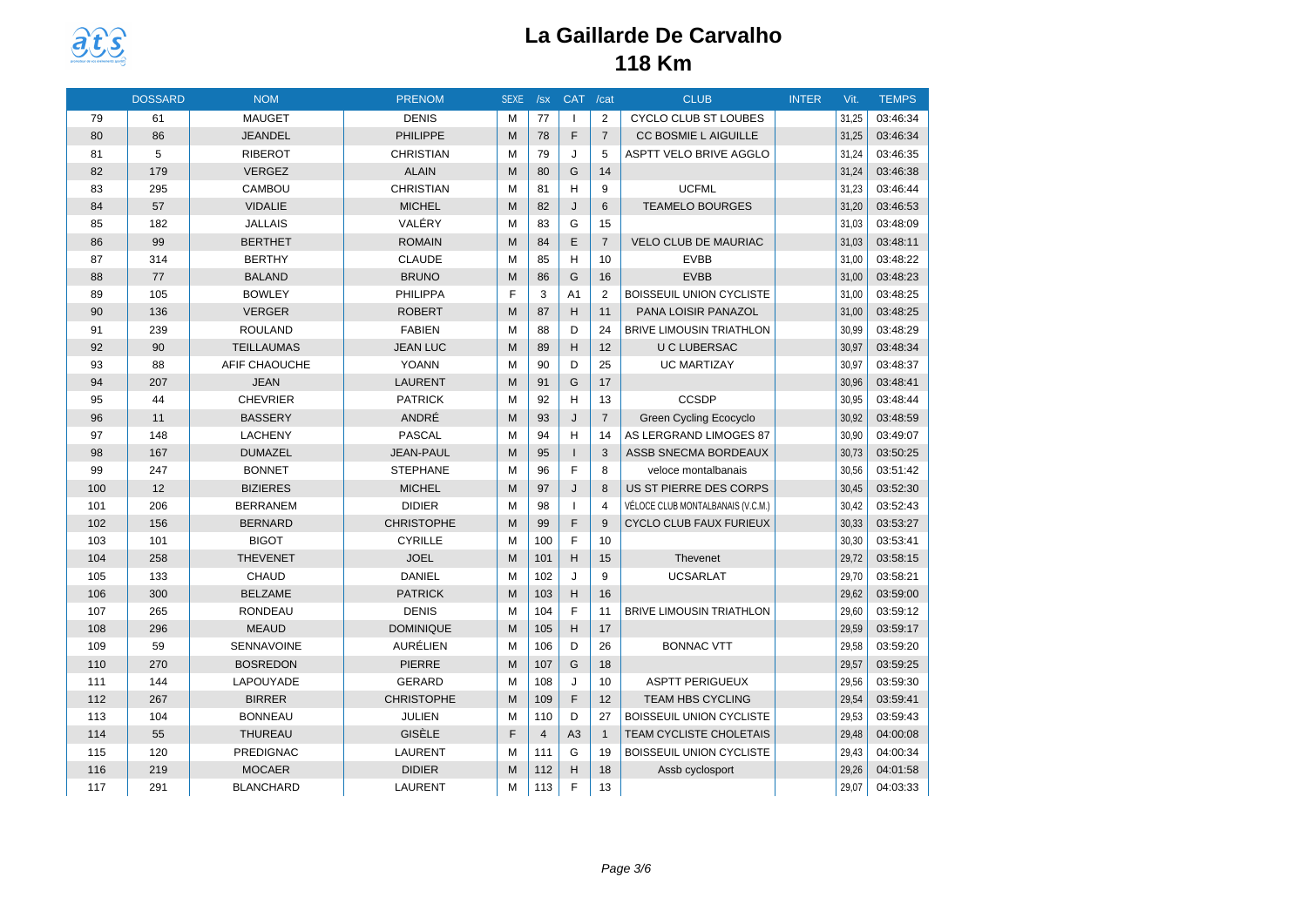

|     | <b>DOSSARD</b> | <b>NOM</b>        | <b>PRENOM</b>     | <b>SEXE</b> | /sx            | CAT /cat       |                | <b>CLUB</b>                       | <b>INTER</b> | Vit.  | <b>TEMPS</b> |
|-----|----------------|-------------------|-------------------|-------------|----------------|----------------|----------------|-----------------------------------|--------------|-------|--------------|
| 79  | 61             | <b>MAUGET</b>     | <b>DENIS</b>      | M           | 77             |                | $\overline{2}$ | <b>CYCLO CLUB ST LOUBES</b>       |              | 31,25 | 03:46:34     |
| 80  | 86             | <b>JEANDEL</b>    | <b>PHILIPPE</b>   | M           | 78             | F              | $\overline{7}$ | CC BOSMIE L AIGUILLE              |              | 31,25 | 03:46:34     |
| 81  | 5              | <b>RIBEROT</b>    | <b>CHRISTIAN</b>  | M           | 79             | J              | 5              | ASPTT VELO BRIVE AGGLO            |              | 31,24 | 03:46:35     |
| 82  | 179            | <b>VERGEZ</b>     | <b>ALAIN</b>      | M           | 80             | G              | 14             |                                   |              | 31,24 | 03:46:38     |
| 83  | 295            | CAMBOU            | <b>CHRISTIAN</b>  | M           | 81             | H              | 9              | <b>UCFML</b>                      |              | 31,23 | 03:46:44     |
| 84  | 57             | <b>VIDALIE</b>    | <b>MICHEL</b>     | M           | 82             | $\mathsf{J}$   | 6              | <b>TEAMELO BOURGES</b>            |              | 31,20 | 03:46:53     |
| 85  | 182            | <b>JALLAIS</b>    | VALÉRY            | м           | 83             | G              | 15             |                                   |              | 31,03 | 03:48:09     |
| 86  | 99             | <b>BERTHET</b>    | <b>ROMAIN</b>     | M           | 84             | E              | $\overline{7}$ | <b>VELO CLUB DE MAURIAC</b>       |              | 31,03 | 03:48:11     |
| 87  | 314            | <b>BERTHY</b>     | <b>CLAUDE</b>     | M           | 85             | H              | 10             | <b>EVBB</b>                       |              | 31,00 | 03:48:22     |
| 88  | 77             | <b>BALAND</b>     | <b>BRUNO</b>      | M           | 86             | G              | 16             | <b>EVBB</b>                       |              | 31,00 | 03:48:23     |
| 89  | 105            | <b>BOWLEY</b>     | PHILIPPA          | F           | 3              | A <sub>1</sub> | 2              | BOISSEUIL UNION CYCLISTE          |              | 31,00 | 03:48:25     |
| 90  | 136            | <b>VERGER</b>     | <b>ROBERT</b>     | M           | 87             | H              | 11             | PANA LOISIR PANAZOL               |              | 31,00 | 03:48:25     |
| 91  | 239            | <b>ROULAND</b>    | <b>FABIEN</b>     | M           | 88             | D              | 24             | <b>BRIVE LIMOUSIN TRIATHLON</b>   |              | 30,99 | 03:48:29     |
| 92  | 90             | <b>TEILLAUMAS</b> | <b>JEAN LUC</b>   | M           | 89             | H              | 12             | <b>U C LUBERSAC</b>               |              | 30,97 | 03:48:34     |
| 93  | 88             | AFIF CHAOUCHE     | <b>YOANN</b>      | M           | 90             | D              | 25             | <b>UC MARTIZAY</b>                |              | 30,97 | 03:48:37     |
| 94  | 207            | <b>JEAN</b>       | <b>LAURENT</b>    | M           | 91             | G              | 17             |                                   |              | 30,96 | 03:48:41     |
| 95  | 44             | <b>CHEVRIER</b>   | <b>PATRICK</b>    | M           | 92             | H              | 13             | <b>CCSDP</b>                      |              | 30.95 | 03:48:44     |
| 96  | 11             | <b>BASSERY</b>    | ANDRÉ             | M           | 93             | J              | $\overline{7}$ | <b>Green Cycling Ecocyclo</b>     |              | 30,92 | 03:48:59     |
| 97  | 148            | <b>LACHENY</b>    | <b>PASCAL</b>     | M           | 94             | H              | 14             | AS LERGRAND LIMOGES 87            |              | 30,90 | 03:49:07     |
| 98  | 167            | <b>DUMAZEL</b>    | <b>JEAN-PAUL</b>  | M           | 95             |                | 3              | ASSB SNECMA BORDEAUX              |              | 30,73 | 03:50:25     |
| 99  | 247            | <b>BONNET</b>     | <b>STEPHANE</b>   | M           | 96             | F              | 8              | veloce montalbanais               |              | 30,56 | 03:51:42     |
| 100 | 12             | <b>BIZIERES</b>   | <b>MICHEL</b>     | M           | 97             | $\mathsf{J}$   | 8              | US ST PIERRE DES CORPS            |              | 30,45 | 03:52:30     |
| 101 | 206            | <b>BERRANEM</b>   | <b>DIDIER</b>     | M           | 98             | $\mathbf{I}$   | $\overline{4}$ | VÉLOCE CLUB MONTALBANAIS (V.C.M.) |              | 30,42 | 03:52:43     |
| 102 | 156            | <b>BERNARD</b>    | <b>CHRISTOPHE</b> | M           | 99             | F              | 9              | <b>CYCLO CLUB FAUX FURIEUX</b>    |              | 30,33 | 03:53:27     |
| 103 | 101            | <b>BIGOT</b>      | <b>CYRILLE</b>    | M           | 100            | E              | 10             |                                   |              | 30,30 | 03:53:41     |
| 104 | 258            | <b>THEVENET</b>   | <b>JOEL</b>       | M           | 101            | H              | 15             | Thevenet                          |              | 29,72 | 03:58:15     |
| 105 | 133            | <b>CHAUD</b>      | <b>DANIEL</b>     | M           | 102            | J              | 9              | <b>UCSARLAT</b>                   |              | 29,70 | 03:58:21     |
| 106 | 300            | <b>BELZAME</b>    | <b>PATRICK</b>    | M           | 103            | H              | 16             |                                   |              | 29,62 | 03:59:00     |
| 107 | 265            | <b>RONDEAU</b>    | <b>DENIS</b>      | M           | 104            | F              | 11             | <b>BRIVE LIMOUSIN TRIATHLON</b>   |              | 29,60 | 03:59:12     |
| 108 | 296            | <b>MEAUD</b>      | <b>DOMINIQUE</b>  | M           | 105            | H              | 17             |                                   |              | 29,59 | 03:59:17     |
| 109 | 59             | SENNAVOINE        | AURÉLIEN          | м           | 106            | D              | 26             | <b>BONNAC VTT</b>                 |              | 29,58 | 03:59:20     |
| 110 | 270            | <b>BOSREDON</b>   | <b>PIERRE</b>     | M           | 107            | G              | 18             |                                   |              | 29,57 | 03:59:25     |
| 111 | 144            | LAPOUYADE         | <b>GERARD</b>     | M           | 108            | J              | 10             | <b>ASPTT PERIGUEUX</b>            |              | 29,56 | 03:59:30     |
| 112 | 267            | <b>BIRRER</b>     | <b>CHRISTOPHE</b> | M           | 109            | F              | 12             | <b>TEAM HBS CYCLING</b>           |              | 29,54 | 03:59:41     |
| 113 | 104            | <b>BONNEAU</b>    | <b>JULIEN</b>     | м           | 110            | D              | 27             | <b>BOISSEUIL UNION CYCLISTE</b>   |              | 29,53 | 03:59:43     |
| 114 | 55             | THUREAU           | GISÈLE            | F           | $\overline{4}$ | A <sub>3</sub> | $\mathbf{1}$   | TEAM CYCLISTE CHOLETAIS           |              | 29,48 | 04:00:08     |
| 115 | 120            | <b>PREDIGNAC</b>  | LAURENT           | м           | 111            | G              | 19             | <b>BOISSEUIL UNION CYCLISTE</b>   |              | 29,43 | 04:00:34     |
| 116 | 219            | <b>MOCAER</b>     | <b>DIDIER</b>     | M           | 112            | H              | 18             | Assb cyclosport                   |              | 29,26 | 04:01:58     |
| 117 | 291            | <b>BLANCHARD</b>  | <b>LAURENT</b>    | M           | 113            | F              | 13             |                                   |              | 29,07 | 04:03:33     |
|     |                |                   |                   |             |                |                |                |                                   |              |       |              |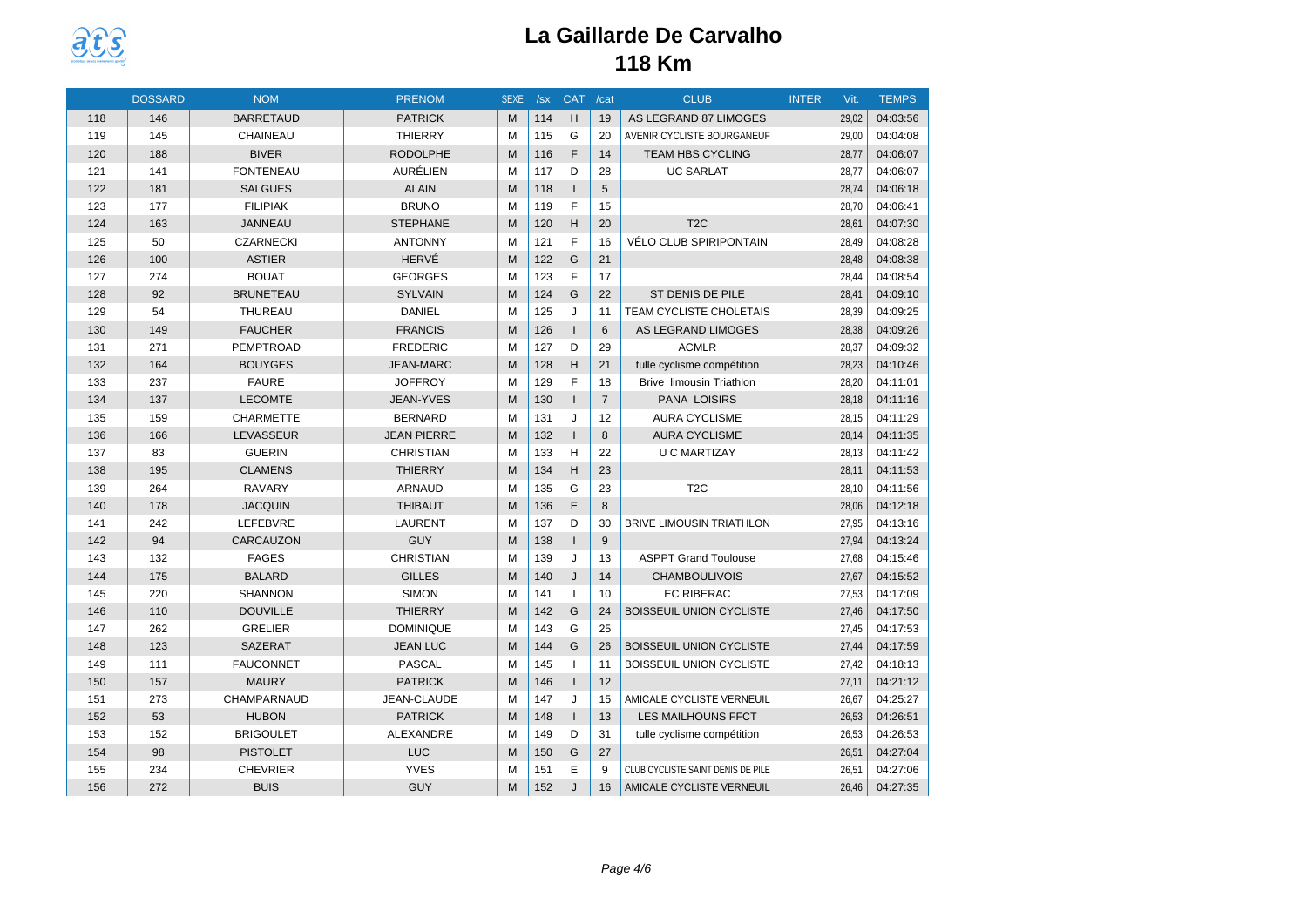

|     | <b>DOSSARD</b> | <b>NOM</b>       | <b>PRENOM</b>      | <b>SEXE</b> | /sx | <b>CAT</b>     | /cat            | <b>CLUB</b>                       | <b>INTER</b> | Vit.  | <b>TEMPS</b> |
|-----|----------------|------------------|--------------------|-------------|-----|----------------|-----------------|-----------------------------------|--------------|-------|--------------|
| 118 | 146            | <b>BARRETAUD</b> | <b>PATRICK</b>     | M           | 114 | H              | 19              | AS LEGRAND 87 LIMOGES             |              | 29,02 | 04:03:56     |
| 119 | 145            | CHAINEAU         | <b>THIERRY</b>     | M           | 115 | G              | 20              | AVENIR CYCLISTE BOURGANEUF        |              | 29,00 | 04:04:08     |
| 120 | 188            | <b>BIVER</b>     | <b>RODOLPHE</b>    | M           | 116 | F              | 14              | <b>TEAM HBS CYCLING</b>           |              | 28,77 | 04:06:07     |
| 121 | 141            | <b>FONTENEAU</b> | AURÉLIEN           | M           | 117 | D              | 28              | <b>UC SARLAT</b>                  |              | 28,77 | 04:06:07     |
| 122 | 181            | <b>SALGUES</b>   | <b>ALAIN</b>       | M           | 118 | $\mathbf{I}$   | 5               |                                   |              | 28,74 | 04:06:18     |
| 123 | 177            | <b>FILIPIAK</b>  | <b>BRUNO</b>       | M           | 119 | F              | 15              |                                   |              | 28,70 | 04:06:41     |
| 124 | 163            | <b>JANNEAU</b>   | <b>STEPHANE</b>    | M           | 120 | H              | 20              | T <sub>2</sub> C                  |              | 28,61 | 04:07:30     |
| 125 | 50             | <b>CZARNECKI</b> | <b>ANTONNY</b>     | M           | 121 | F              | 16              | VÉLO CLUB SPIRIPONTAIN            |              | 28,49 | 04:08:28     |
| 126 | 100            | <b>ASTIER</b>    | HERVÉ              | M           | 122 | G              | 21              |                                   |              | 28,48 | 04:08:38     |
| 127 | 274            | <b>BOUAT</b>     | <b>GEORGES</b>     | M           | 123 | F              | 17              |                                   |              | 28,44 | 04:08:54     |
| 128 | 92             | <b>BRUNETEAU</b> | <b>SYLVAIN</b>     | M           | 124 | G              | 22              | ST DENIS DE PILE                  |              | 28,41 | 04:09:10     |
| 129 | 54             | THUREAU          | <b>DANIEL</b>      | M           | 125 | J              | 11              | TEAM CYCLISTE CHOLETAIS           |              | 28,39 | 04:09:25     |
| 130 | 149            | <b>FAUCHER</b>   | <b>FRANCIS</b>     | M           | 126 | $\mathbf{I}$   | 6               | <b>AS LEGRAND LIMOGES</b>         |              | 28,38 | 04:09:26     |
| 131 | 271            | PEMPTROAD        | <b>FREDERIC</b>    | M           | 127 | D              | 29              | <b>ACMLR</b>                      |              | 28,37 | 04:09:32     |
| 132 | 164            | <b>BOUYGES</b>   | <b>JEAN-MARC</b>   | M           | 128 | H              | 21              | tulle cyclisme compétition        |              | 28,23 | 04:10:46     |
| 133 | 237            | <b>FAURE</b>     | <b>JOFFROY</b>     | M           | 129 | F              | 18              | <b>Brive limousin Triathlon</b>   |              | 28,20 | 04:11:01     |
| 134 | 137            | <b>LECOMTE</b>   | JEAN-YVES          | M           | 130 | $\overline{1}$ | $\overline{7}$  | PANA LOISIRS                      |              | 28,18 | 04:11:16     |
| 135 | 159            | <b>CHARMETTE</b> | <b>BERNARD</b>     | M           | 131 | J              | 12              | <b>AURA CYCLISME</b>              |              | 28,15 | 04:11:29     |
| 136 | 166            | LEVASSEUR        | <b>JEAN PIERRE</b> | M           | 132 | $\mathbf{I}$   | 8               | <b>AURA CYCLISME</b>              |              | 28,14 | 04:11:35     |
| 137 | 83             | <b>GUERIN</b>    | <b>CHRISTIAN</b>   | M           | 133 | H              | 22              | <b>U C MARTIZAY</b>               |              | 28.13 | 04:11:42     |
| 138 | 195            | <b>CLAMENS</b>   | <b>THIERRY</b>     | M           | 134 | H              | 23              |                                   |              | 28,11 | 04:11:53     |
| 139 | 264            | <b>RAVARY</b>    | ARNAUD             | M           | 135 | G              | 23              | T <sub>2</sub> C                  |              | 28,10 | 04:11:56     |
| 140 | 178            | <b>JACQUIN</b>   | <b>THIBAUT</b>     | M           | 136 | E              | 8               |                                   |              | 28,06 | 04:12:18     |
| 141 | 242            | LEFEBVRE         | <b>LAURENT</b>     | M           | 137 | D              | 30              | <b>BRIVE LIMOUSIN TRIATHLON</b>   |              | 27,95 | 04:13:16     |
| 142 | 94             | CARCAUZON        | <b>GUY</b>         | M           | 138 | $\mathbf{I}$   | 9               |                                   |              | 27,94 | 04:13:24     |
| 143 | 132            | <b>FAGES</b>     | <b>CHRISTIAN</b>   | M           | 139 | J              | 13              | <b>ASPPT Grand Toulouse</b>       |              | 27,68 | 04:15:46     |
| 144 | 175            | <b>BALARD</b>    | <b>GILLES</b>      | M           | 140 | J              | 14              | <b>CHAMBOULIVOIS</b>              |              | 27,67 | 04:15:52     |
| 145 | 220            | <b>SHANNON</b>   | <b>SIMON</b>       | M           | 141 | $\mathbf{I}$   | 10 <sup>1</sup> | <b>EC RIBERAC</b>                 |              | 27,53 | 04:17:09     |
| 146 | 110            | <b>DOUVILLE</b>  | <b>THIERRY</b>     | M           | 142 | G              | 24              | <b>BOISSEUIL UNION CYCLISTE</b>   |              | 27,46 | 04:17:50     |
| 147 | 262            | <b>GRELIER</b>   | <b>DOMINIQUE</b>   | M           | 143 | G              | 25              |                                   |              | 27,45 | 04:17:53     |
| 148 | 123            | <b>SAZERAT</b>   | <b>JEAN LUC</b>    | M           | 144 | G              | 26              | BOISSEUIL UNION CYCLISTE          |              | 27,44 | 04:17:59     |
| 149 | 111            | <b>FAUCONNET</b> | <b>PASCAL</b>      | M           | 145 | $\overline{1}$ | 11              | <b>BOISSEUIL UNION CYCLISTE</b>   |              | 27,42 | 04:18:13     |
| 150 | 157            | <b>MAURY</b>     | <b>PATRICK</b>     | M           | 146 | $\mathbf{I}$   | 12              |                                   |              | 27,11 | 04:21:12     |
| 151 | 273            | CHAMPARNAUD      | JEAN-CLAUDE        | М           | 147 | J              | 15              | AMICALE CYCLISTE VERNEUIL         |              | 26,67 | 04:25:27     |
| 152 | 53             | <b>HUBON</b>     | <b>PATRICK</b>     | M           | 148 | $\mathbf{I}$   | 13              | <b>LES MAILHOUNS FFCT</b>         |              | 26,53 | 04:26:51     |
| 153 | 152            | <b>BRIGOULET</b> | ALEXANDRE          | м           | 149 | D              | 31              | tulle cyclisme compétition        |              | 26,53 | 04:26:53     |
| 154 | 98             | <b>PISTOLET</b>  | <b>LUC</b>         | M           | 150 | G              | 27              |                                   |              | 26,51 | 04:27:04     |
| 155 | 234            | <b>CHEVRIER</b>  | <b>YVES</b>        | M           | 151 | E              | 9               | CLUB CYCLISTE SAINT DENIS DE PILE |              | 26,51 | 04:27:06     |
| 156 | 272            | <b>BUIS</b>      | <b>GUY</b>         | M           | 152 | J              | 16              | AMICALE CYCLISTE VERNEUIL         |              | 26,46 | 04:27:35     |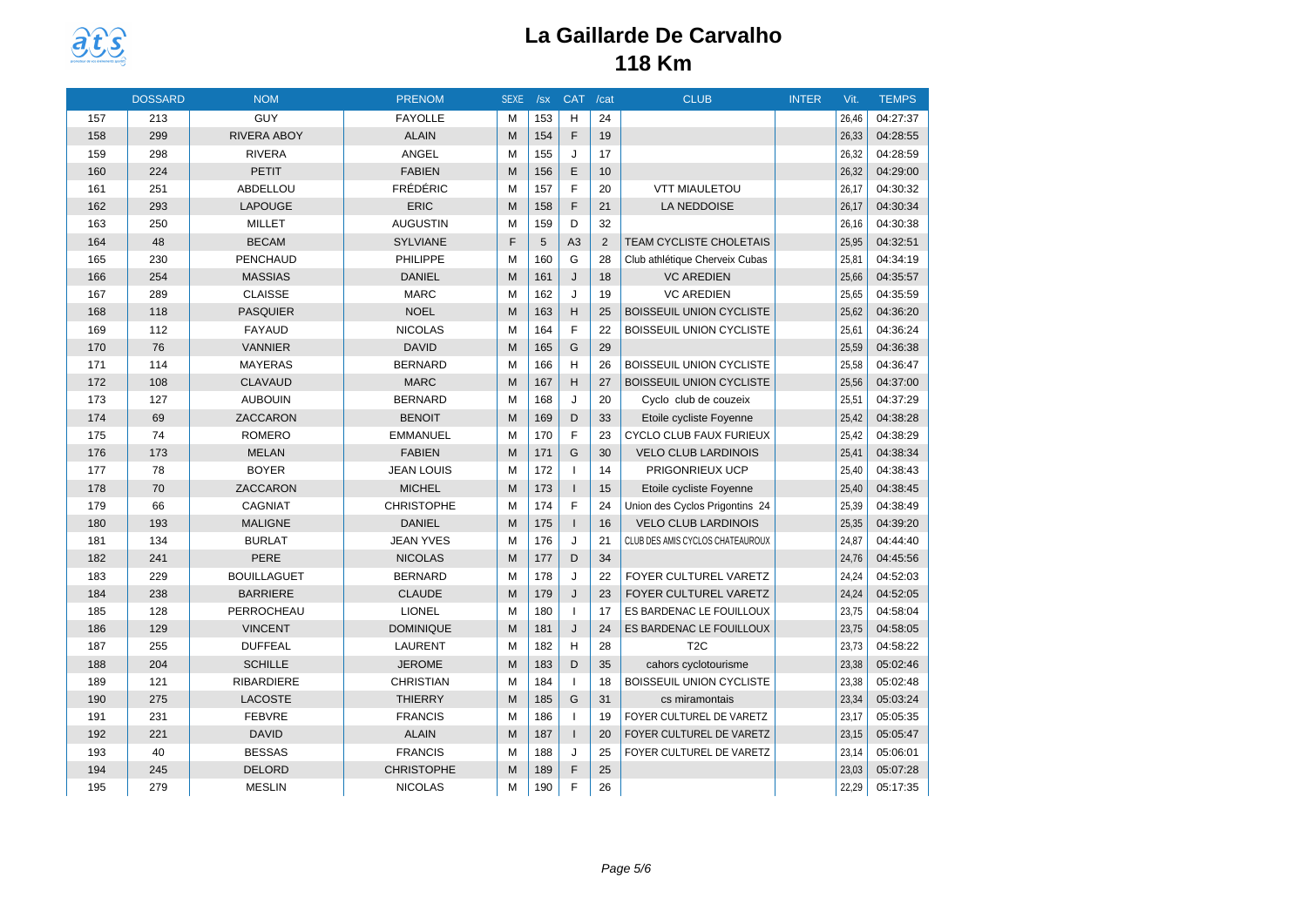

|     | <b>DOSSARD</b> | <b>NOM</b>         | <b>PRENOM</b>     | <b>SEXE</b> | /sx | <b>CAT</b>     | /cat | <b>CLUB</b>                      | <b>INTER</b> | Vit.  | <b>TEMPS</b> |
|-----|----------------|--------------------|-------------------|-------------|-----|----------------|------|----------------------------------|--------------|-------|--------------|
| 157 | 213            | GUY                | <b>FAYOLLE</b>    | M           | 153 | H              | 24   |                                  |              | 26.46 | 04:27:37     |
| 158 | 299            | RIVERA ABOY        | <b>ALAIN</b>      | M           | 154 | F              | 19   |                                  |              | 26,33 | 04:28:55     |
| 159 | 298            | <b>RIVERA</b>      | ANGEL             | M           | 155 | J              | 17   |                                  |              | 26,32 | 04:28:59     |
| 160 | 224            | <b>PETIT</b>       | <b>FABIEN</b>     | M           | 156 | E              | 10   |                                  |              | 26,32 | 04:29:00     |
| 161 | 251            | ABDELLOU           | <b>FRÉDÉRIC</b>   | M           | 157 | E              | 20   | <b>VTT MIAULETOU</b>             |              | 26,17 | 04:30:32     |
| 162 | 293            | <b>LAPOUGE</b>     | <b>ERIC</b>       | M           | 158 | F              | 21   | LA NEDDOISE                      |              | 26,17 | 04:30:34     |
| 163 | 250            | <b>MILLET</b>      | <b>AUGUSTIN</b>   | M           | 159 | D              | 32   |                                  |              | 26,16 | 04:30:38     |
| 164 | 48             | <b>BECAM</b>       | <b>SYLVIANE</b>   | F           | 5   | A <sub>3</sub> | 2    | <b>TEAM CYCLISTE CHOLETAIS</b>   |              | 25,95 | 04:32:51     |
| 165 | 230            | <b>PENCHAUD</b>    | <b>PHILIPPE</b>   | M           | 160 | G              | 28   | Club athlétique Cherveix Cubas   |              | 25,81 | 04:34:19     |
| 166 | 254            | <b>MASSIAS</b>     | <b>DANIEL</b>     | M           | 161 | J              | 18   | <b>VC AREDIEN</b>                |              | 25,66 | 04:35:57     |
| 167 | 289            | <b>CLAISSE</b>     | <b>MARC</b>       | M           | 162 | J              | 19   | <b>VC AREDIEN</b>                |              | 25,65 | 04:35:59     |
| 168 | 118            | <b>PASQUIER</b>    | <b>NOEL</b>       | M           | 163 | H              | 25   | <b>BOISSEUIL UNION CYCLISTE</b>  |              | 25,62 | 04:36:20     |
| 169 | 112            | <b>FAYAUD</b>      | <b>NICOLAS</b>    | M           | 164 | F              | 22   | BOISSEUIL UNION CYCLISTE         |              | 25,61 | 04:36:24     |
| 170 | 76             | <b>VANNIER</b>     | <b>DAVID</b>      | M           | 165 | G              | 29   |                                  |              | 25,59 | 04:36:38     |
| 171 | 114            | <b>MAYERAS</b>     | <b>BERNARD</b>    | M           | 166 | H              | 26   | <b>BOISSEUIL UNION CYCLISTE</b>  |              | 25,58 | 04:36:47     |
| 172 | 108            | <b>CLAVAUD</b>     | <b>MARC</b>       | M           | 167 | H              | 27   | <b>BOISSEUIL UNION CYCLISTE</b>  |              | 25,56 | 04:37:00     |
| 173 | 127            | <b>AUBOUIN</b>     | <b>BERNARD</b>    | M           | 168 | J              | 20   | Cyclo club de couzeix            |              | 25,51 | 04:37:29     |
| 174 | 69             | ZACCARON           | <b>BENOIT</b>     | M           | 169 | D              | 33   | Etoile cycliste Foyenne          |              | 25,42 | 04:38:28     |
| 175 | 74             | <b>ROMERO</b>      | <b>EMMANUEL</b>   | M           | 170 | E              | 23   | CYCLO CLUB FAUX FURIEUX          |              | 25,42 | 04:38:29     |
| 176 | 173            | <b>MELAN</b>       | <b>FABIEN</b>     | M           | 171 | G              | 30   | <b>VELO CLUB LARDINOIS</b>       |              | 25,41 | 04:38:34     |
| 177 | 78             | <b>BOYER</b>       | <b>JEAN LOUIS</b> | M           | 172 | $\overline{1}$ | 14   | PRIGONRIEUX UCP                  |              | 25,40 | 04:38:43     |
| 178 | 70             | ZACCARON           | <b>MICHEL</b>     | M           | 173 | $\mathbf{I}$   | 15   | Etoile cycliste Foyenne          |              | 25,40 | 04:38:45     |
| 179 | 66             | CAGNIAT            | <b>CHRISTOPHE</b> | M           | 174 | $\mathsf{F}$   | 24   | Union des Cyclos Prigontins 24   |              | 25,39 | 04:38:49     |
| 180 | 193            | <b>MALIGNE</b>     | <b>DANIEL</b>     | M           | 175 | $\mathbf{I}$   | 16   | <b>VELO CLUB LARDINOIS</b>       |              | 25,35 | 04:39:20     |
| 181 | 134            | <b>BURLAT</b>      | <b>JEAN YVES</b>  | M           | 176 | J              | 21   | CLUB DES AMIS CYCLOS CHATEAUROUX |              | 24,87 | 04:44:40     |
| 182 | 241            | PERE               | <b>NICOLAS</b>    | M           | 177 | D              | 34   |                                  |              | 24,76 | 04:45:56     |
| 183 | 229            | <b>BOUILLAGUET</b> | <b>BERNARD</b>    | M           | 178 | J              | 22   | FOYER CULTUREL VARETZ            |              | 24,24 | 04:52:03     |
| 184 | 238            | <b>BARRIERE</b>    | <b>CLAUDE</b>     | M           | 179 | J              | 23   | FOYER CULTUREL VARETZ            |              | 24,24 | 04:52:05     |
| 185 | 128            | PERROCHEAU         | <b>LIONEL</b>     | M           | 180 | $\mathbf{I}$   | 17   | ES BARDENAC LE FOUILLOUX         |              | 23,75 | 04:58:04     |
| 186 | 129            | <b>VINCENT</b>     | <b>DOMINIQUE</b>  | M           | 181 | J              | 24   | ES BARDENAC LE FOUILLOUX         |              | 23,75 | 04:58:05     |
| 187 | 255            | <b>DUFFEAL</b>     | <b>LAURENT</b>    | M           | 182 | H              | 28   | T2C                              |              | 23,73 | 04:58:22     |
| 188 | 204            | <b>SCHILLE</b>     | <b>JEROME</b>     | M           | 183 | D              | 35   | cahors cyclotourisme             |              | 23,38 | 05:02:46     |
| 189 | 121            | RIBARDIERE         | <b>CHRISTIAN</b>  | M           | 184 | $\overline{1}$ | 18   | BOISSEUIL UNION CYCLISTE         |              | 23,38 | 05:02:48     |
| 190 | 275            | <b>LACOSTE</b>     | <b>THIERRY</b>    | M           | 185 | G              | 31   | cs miramontais                   |              | 23,34 | 05:03:24     |
| 191 | 231            | <b>FEBVRE</b>      | <b>FRANCIS</b>    | M           | 186 | $\overline{1}$ | 19   | FOYER CULTUREL DE VARETZ         |              | 23,17 | 05:05:35     |
| 192 | 221            | <b>DAVID</b>       | <b>ALAIN</b>      | M           | 187 | $\mathbf{I}$   | 20   | FOYER CULTUREL DE VARETZ         |              | 23,15 | 05:05:47     |
| 193 | 40             | <b>BESSAS</b>      | <b>FRANCIS</b>    | M           | 188 | J              | 25   | FOYER CULTUREL DE VARETZ         |              | 23,14 | 05:06:01     |
| 194 | 245            | <b>DELORD</b>      | <b>CHRISTOPHE</b> | M           | 189 | F              | 25   |                                  |              | 23,03 | 05:07:28     |
| 195 | 279            | <b>MESLIN</b>      | <b>NICOLAS</b>    | M           | 190 | F              | 26   |                                  |              | 22,29 | 05:17:35     |